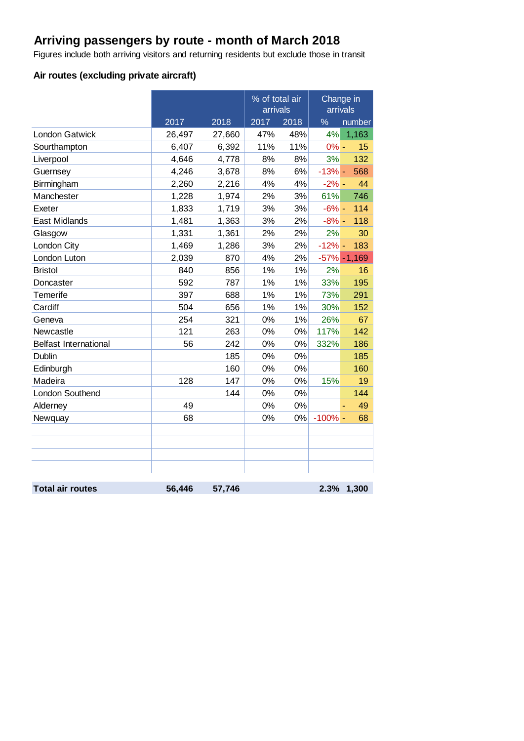# **Arriving passengers by route - month of March 2018**

Figures include both arriving visitors and returning residents but exclude those in transit

### **Air routes (excluding private aircraft)**

|                              |        |        | % of total air<br>arrivals |      | arrivals  | Change in       |
|------------------------------|--------|--------|----------------------------|------|-----------|-----------------|
|                              | 2017   | 2018   | 2017                       | 2018 | %         | number          |
| <b>London Gatwick</b>        | 26,497 | 27,660 | 47%                        | 48%  | 4%        | 1,163           |
| Sourthampton                 | 6,407  | 6,392  | 11%                        | 11%  | $0% -$    | 15              |
| Liverpool                    | 4,646  | 4,778  | 8%                         | 8%   | 3%        | 132             |
| Guernsey                     | 4,246  | 3,678  | 8%                         | 6%   | $-13% -$  | 568             |
| Birmingham                   | 2,260  | 2,216  | 4%                         | 4%   | $-2\%$ -  | 44              |
| Manchester                   | 1,228  | 1,974  | 2%                         | 3%   | 61%       | 746             |
| Exeter                       | 1,833  | 1,719  | 3%                         | 3%   | $-6% -$   | 114             |
| East Midlands                | 1,481  | 1,363  | 3%                         | 2%   | $-8% -$   | 118             |
| Glasgow                      | 1,331  | 1,361  | 2%                         | 2%   | 2%        | 30              |
| London City                  | 1,469  | 1,286  | 3%                         | 2%   | $-12% -$  | 183             |
| London Luton                 | 2,039  | 870    | 4%                         | 2%   |           | $-57\% - 1,169$ |
| <b>Bristol</b>               | 840    | 856    | 1%                         | 1%   | 2%        | 16              |
| Doncaster                    | 592    | 787    | 1%                         | 1%   | 33%       | 195             |
| <b>Temerife</b>              | 397    | 688    | 1%                         | 1%   | 73%       | 291             |
| Cardiff                      | 504    | 656    | 1%                         | 1%   | 30%       | 152             |
| Geneva                       | 254    | 321    | 0%                         | 1%   | 26%       | 67              |
| Newcastle                    | 121    | 263    | 0%                         | 0%   | 117%      | 142             |
| <b>Belfast International</b> | 56     | 242    | 0%                         | 0%   | 332%      | 186             |
| <b>Dublin</b>                |        | 185    | 0%                         | 0%   |           | 185             |
| Edinburgh                    |        | 160    | 0%                         | 0%   |           | 160             |
| Madeira                      | 128    | 147    | 0%                         | 0%   | 15%       | 19              |
| London Southend              |        | 144    | 0%                         | 0%   |           | 144             |
| Alderney                     | 49     |        | 0%                         | 0%   |           | 49              |
| Newquay                      | 68     |        | 0%                         | 0%   | $-100%$ - | 68              |
|                              |        |        |                            |      |           |                 |
|                              |        |        |                            |      |           |                 |
|                              |        |        |                            |      |           |                 |
|                              |        |        |                            |      |           |                 |
| <b>Total air routes</b>      | 56,446 | 57,746 |                            |      | 2.3%      | 1,300           |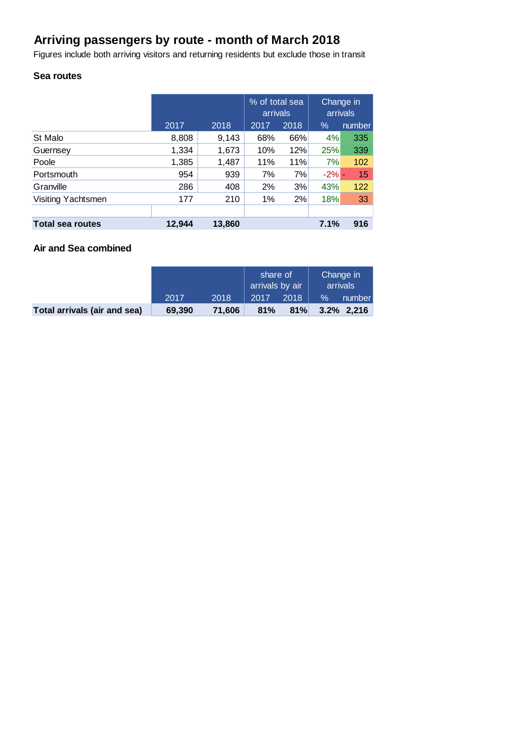# **Arriving passengers by route - month of March 2018**

Figures include both arriving visitors and returning residents but exclude those in transit

#### **Sea routes**

|                         |        |        | % of total sea<br>arrivals |      | Change in<br>arrivals |        |
|-------------------------|--------|--------|----------------------------|------|-----------------------|--------|
|                         | 2017   | 2018   | 2017                       | 2018 | $\%$                  | number |
| St Malo                 | 8,808  | 9,143  | 68%                        | 66%  | 4%                    | 335    |
| Guernsey                | 1,334  | 1,673  | 10%                        | 12%  | 25%                   | 339    |
| Poole                   | 1,385  | 1,487  | 11%                        | 11%  | 7%                    | 102    |
| Portsmouth              | 954    | 939    | 7%                         | 7%   | $-2% -$               | 15     |
| Granville               | 286    | 408    | 2%                         | 3%   | 43%                   | 122    |
| Visiting Yachtsmen      | 177    | 210    | 1%                         | 2%   | 18%                   | 33     |
|                         |        |        |                            |      |                       |        |
| <b>Total sea routes</b> | 12,944 | 13,860 |                            |      | 7.1%                  | 916    |

#### **Air and Sea combined**

|                              |        |        | share of<br>arrivals by air |      | Change in<br>arrivals |               |
|------------------------------|--------|--------|-----------------------------|------|-----------------------|---------------|
|                              | 2017   | 2018   | 2017                        | 2018 | $\%$                  | number        |
| Total arrivals (air and sea) | 69,390 | 71.606 | 81%                         | 81%  |                       | $3.2\%$ 2.216 |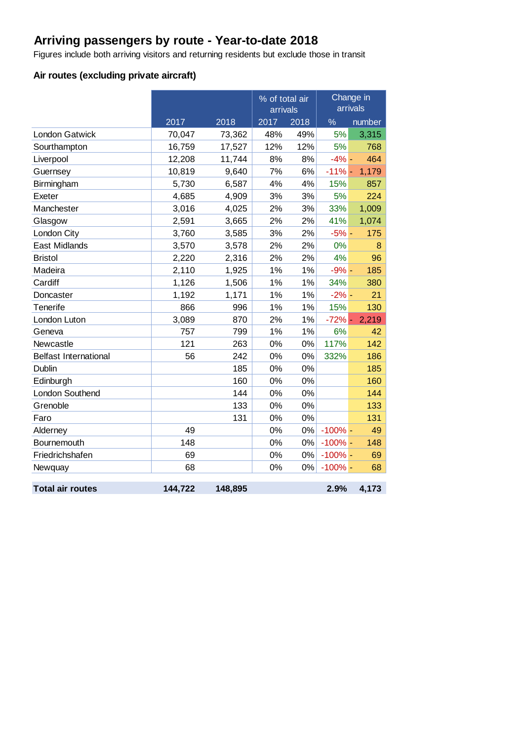# **Arriving passengers by route - Year-to-date 2018**

Figures include both arriving visitors and returning residents but exclude those in transit

## **Air routes (excluding private aircraft)**

|                              |         |         | % of total air<br>arrivals |       |            | Change in<br>arrivals |
|------------------------------|---------|---------|----------------------------|-------|------------|-----------------------|
|                              | 2017    | 2018    | $\overline{2017}$<br>2018  |       | $\%$       | number                |
| <b>London Gatwick</b>        | 70,047  | 73,362  | 48%                        | 49%   | 5%         | 3,315                 |
| Sourthampton                 | 16,759  | 17,527  | 12%                        | 12%   | 5%         | 768                   |
| Liverpool                    | 12,208  | 11,744  | 8%                         | 8%    | $-4%$ -    | 464                   |
| Guernsey                     | 10,819  | 9,640   | 7%                         | 6%    | $-11% -$   | 1,179                 |
| Birmingham                   | 5,730   | 6,587   | 4%                         | 4%    | 15%        | 857                   |
| Exeter                       | 4,685   | 4,909   | 3%                         | 3%    | 5%         | 224                   |
| Manchester                   | 3,016   | 4,025   | 2%                         | 3%    | 33%        | 1,009                 |
| Glasgow                      | 2,591   | 3,665   | 2%                         | 2%    | 41%        | 1,074                 |
| London City                  | 3,760   | 3,585   | 3%                         | 2%    | $-5%$ -    | 175                   |
| East Midlands                | 3,570   | 3,578   | 2%                         | 2%    | 0%         | 8                     |
| <b>Bristol</b>               | 2,220   | 2,316   | 2%                         | 2%    | 4%         | 96                    |
| Madeira                      | 2,110   | 1,925   | 1%                         | 1%    | $-9\%$ -   | 185                   |
| Cardiff                      | 1,126   | 1,506   | 1%                         | 1%    | 34%        | 380                   |
| Doncaster                    | 1,192   | 1,171   | 1%                         | 1%    | $-2\%$ -   | 21                    |
| Tenerife                     | 866     | 996     | 1%                         | 1%    | 15%        | 130                   |
| London Luton                 | 3,089   | 870     | 2%                         | 1%    | $-72%$ -   | 2,219                 |
| Geneva                       | 757     | 799     | 1%                         | 1%    | 6%         | 42                    |
| Newcastle                    | 121     | 263     | 0%                         | 0%    | 117%       | 142                   |
| <b>Belfast International</b> | 56      | 242     | 0%                         | 0%    | 332%       | 186                   |
| Dublin                       |         | 185     | 0%                         | 0%    |            | 185                   |
| Edinburgh                    |         | 160     | 0%                         | 0%    |            | 160                   |
| London Southend              |         | 144     | 0%                         | 0%    |            | 144                   |
| Grenoble                     |         | 133     | 0%                         | 0%    |            | 133                   |
| Faro                         |         | 131     | 0%                         | 0%    |            | 131                   |
| Alderney                     | 49      |         | 0%                         | 0%    | $-100%$ -  | 49                    |
| Bournemouth                  | 148     |         | 0%                         | 0%    | $-100% -$  | 148                   |
| Friedrichshafen              | 69      |         | 0%                         | $0\%$ | $-100\%$ - | 69                    |
| Newquay                      | 68      |         | 0%                         | 0%    | $-100\%$ - | 68                    |
| <b>Total air routes</b>      | 144,722 | 148,895 |                            |       | 2.9%       | 4,173                 |